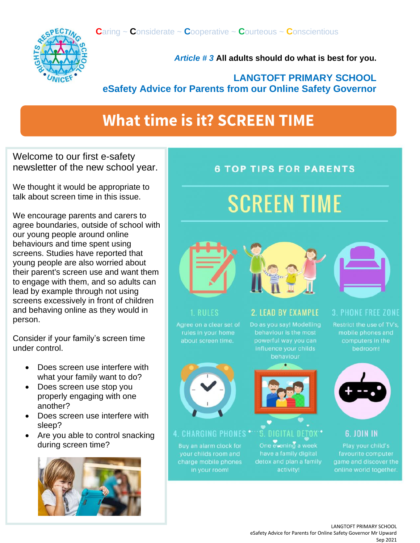

*Article # 3* **All adults should do what is best for you.**

#### **LANGTOFT PRIMARY SCHOOL eSafety Advice for Parents from our Online Safety Governor**

## **What time is it? SCREEN TIME**

Welcome to our first e-safety newsletter of the new school year.

We thought it would be appropriate to talk about screen time in this issue.

We encourage parents and carers to agree boundaries, outside of school with our young people around online behaviours and time spent using screens. Studies have reported that young people are also worried about their parent's screen use and want them to engage with them, and so adults can lead by example through not using screens excessively in front of children and behaving online as they would in person.

Consider if your family's screen time under control.

- Does screen use interfere with what your family want to do?
- Does screen use stop you properly engaging with one another?
- Does screen use interfere with sleep?
- Are you able to control snacking during screen time?



### **6 TOP TIPS FOR PARENTS**

## **SCREEN TIME**





#### 1. RULES

rules in your home about screen time.



4. CHARGING PHONES \* Buy an alarm clock for

your childs room and charge mobile phones in your room!

**2 LEAD BY EXAMPLE** 

Do as you say! Modelling influence your childs behaviour



5. DIGITAL DETOX \* One evening a week have a family digital detox and plan a family activity!

#### **3. PHONE FREE ZONE**

Restrict the use of TV's, mobile phones and computers in the bedroom!



**6. JOIN IN** Play your child's favourite computer game and discover the

online world together.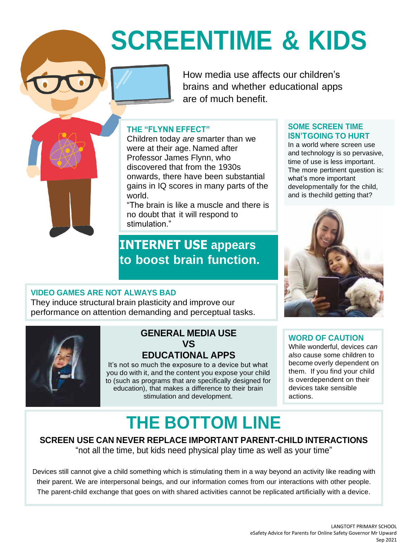# **SCREENTIME & KIDS**

How media use affects our children's brains and whether educational apps are of much benefit.

#### **THE "FLYNN EFFECT"**

Children today *are* smarter than we were at their age. Named after Professor James Flynn, who discovered that from the 1930s onwards, there have been substantial gains in IQ scores in many parts of the world.

"The brain is like a muscle and there is no doubt that it will respond to stimulation."

### **INTERNET USE appears to boost brain function.**

#### **SOME SCREEN TIME ISN'TGOING TO HURT**

In a world where screen use and technology is so pervasive, time of use is less important. The more pertinent question is: what's more important developmentally for the child, and is thechild getting that?



#### **VIDEO GAMES ARE NOT ALWAYS BAD**

They induce structural brain plasticity and improve our performance on attention demanding and perceptual tasks.



#### **GENERAL MEDIA USE VS EDUCATIONAL APPS**

It's not so much the exposure to a device but what you do with it, and the content you expose your child to (such as programs that are specifically designed for education), that makes a difference to their brain stimulation and development.

#### **WORD OF CAUTION**

While wonderful, devices *can also* cause some children to become overly dependent on them. If you find your child is overdependent on their devices take sensible actions.

## **THE BOTTOM LINE**

**SCREEN USE CAN NEVER REPLACE IMPORTANT PARENT-CHILD INTERACTIONS** "not all the time, but kids need physical play time as well as your time"

Devices still cannot give a child something which is stimulating them in a way beyond an activity like reading with their parent. We are interpersonal beings, and our information comes from our interactions with other people. The parent-child exchange that goes on with shared activities cannot be replicated artificially with a device.